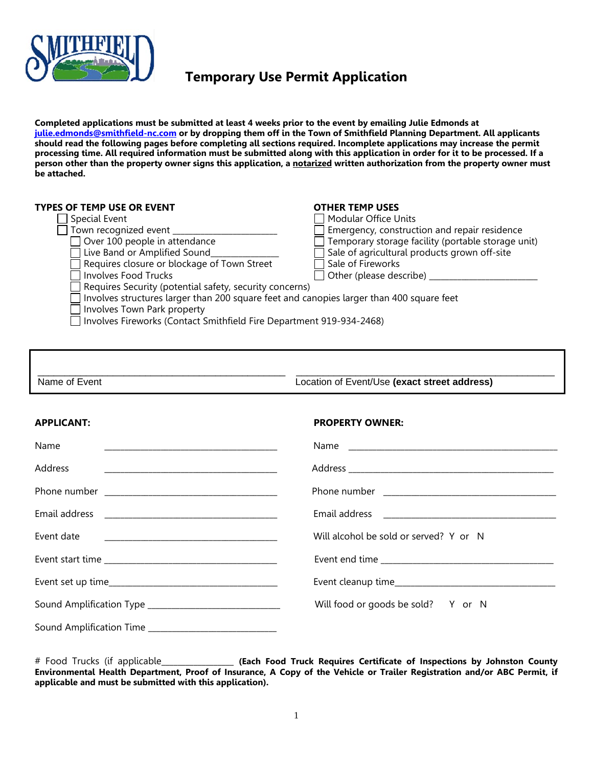

### **Temporary Use Permit Application**

**Completed applications must be submitted at least 4 weeks prior to the event by emailing Julie Edmonds at [julie.edmonds@smithfield-nc.com](mailto:julie.edmonds@smithfield-nc.com) or by dropping them off in the Town of Smithfield Planning Department. All applicants should read the following pages before completing all sections required. Incomplete applications may increase the permit processing time. All required information must be submitted along with this application in order for it to be processed. If a person other than the property owner signs this application, a notarized written authorization from the property owner must be attached.**

#### **TYPES OF TEMP USE OR EVENT OTHER TEMP USES**

| $\Box$ Special Event |
|----------------------|
| $1$ Taun research    |

- 
- 
- $\Box$  Requires closure or blockage of Town Street  $\Box$  Sale of Fireworks
- $\Box$  Involves Food Trucks  $\Box$  Other (please describe)
	- Requires Security (potential safety, security concerns)

- Special Event Modular Office Units Town recognized event \_\_\_\_\_\_\_\_\_\_\_\_\_\_\_\_\_\_\_\_\_\_\_\_\_\_ Emergency, construction and repair residence Temporary storage facility (portable storage unit)
	- Live Band or Amplified Sound\_\_\_\_\_\_\_\_\_\_\_\_\_\_\_\_\_ Sale of agricultural products grown off-site
		-
		-

 $\Box$  Involves structures larger than 200 square feet and canopies larger than 400 square feet

Involves Town Park property

Involves Fireworks (Contact Smithfield Fire Department 919-934-2468)

| Name of Event | Location of Event/Use (exact street address) |
|---------------|----------------------------------------------|

### **APPLICANT: PROPERTY OWNER:**

# Name the contract of the contract of the contract of the contract of the contract of the contract of the contract of the contract of the contract of the contract of the contract of the contract of the contract of the contr Address \_\_\_\_\_\_\_\_\_\_\_\_\_\_\_\_\_\_\_\_\_\_\_\_\_\_\_\_\_\_\_\_\_\_\_\_\_\_\_\_\_\_\_ Address \_\_\_\_\_\_\_\_\_\_\_\_\_\_\_\_\_\_\_\_\_\_\_\_\_\_\_\_\_\_\_\_\_\_\_\_\_\_\_\_\_\_\_\_\_\_\_\_\_\_\_ Phone number \_\_\_\_\_\_\_\_\_\_\_\_\_\_\_\_\_\_\_\_\_\_\_\_\_\_\_\_\_\_\_\_\_\_\_\_\_\_\_\_\_\_\_ Phone number \_\_\_\_\_\_\_\_\_\_\_\_\_\_\_\_\_\_\_\_\_\_\_\_\_\_\_\_\_\_\_\_\_\_\_\_\_\_\_\_\_\_\_ Email address \_\_\_\_\_\_\_\_\_\_\_\_\_\_\_\_\_\_\_\_\_\_\_\_\_\_\_\_\_\_\_\_\_\_\_\_\_\_\_\_\_\_\_ Email address \_\_\_\_\_\_\_\_\_\_\_\_\_\_\_\_\_\_\_\_\_\_\_\_\_\_\_\_\_\_\_\_\_\_\_\_\_\_\_\_\_\_\_

Event date **Exercise 2** and the sold of served? Y or N

| Event end time |  |
|----------------|--|
|----------------|--|

Event start time \_\_\_\_\_\_\_\_\_\_\_\_\_\_\_\_\_\_\_\_\_\_\_\_\_\_\_\_\_\_\_\_\_\_\_\_\_\_\_\_\_\_\_ Event end time \_\_\_\_\_\_\_\_\_\_\_\_\_\_\_\_\_\_\_\_\_\_\_\_\_\_\_\_\_\_\_\_\_\_\_\_\_\_\_\_\_\_\_ Event set up time\_\_\_\_\_\_\_\_\_\_\_\_\_\_\_\_\_\_\_\_\_\_\_\_\_\_\_\_\_\_\_\_\_\_\_\_\_\_\_\_\_\_ Event cleanup time\_\_\_\_\_\_\_\_\_\_\_\_\_\_\_\_\_\_\_\_\_\_\_\_\_\_\_\_\_\_\_\_\_\_\_\_\_\_\_\_ Sound Amplification Type \_\_\_\_\_\_\_\_\_\_\_\_\_\_\_\_\_\_\_\_\_\_\_\_\_\_\_\_\_\_\_\_\_ Will food or goods be sold? Y or N

Sound Amplification Time \_\_\_\_\_\_\_\_\_\_\_\_\_\_\_\_\_\_\_\_\_\_\_\_\_\_\_\_\_\_\_\_

# Food Trucks (if applicable\_\_\_\_\_\_\_\_\_\_\_\_\_\_\_\_\_\_ **(Each Food Truck Requires Certificate of Inspections by Johnston County Environmental Health Department, Proof of Insurance, A Copy of the Vehicle or Trailer Registration and/or ABC Permit, if applicable and must be submitted with this application).**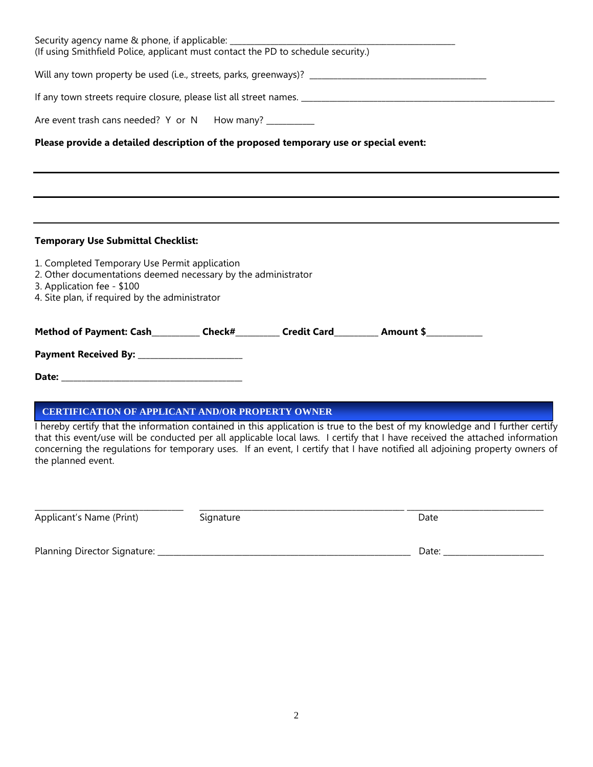| Security agency name & phone, if applicable: ___________________________________<br>(If using Smithfield Police, applicant must contact the PD to schedule security.)                                                                                                                                                    |  |  |
|--------------------------------------------------------------------------------------------------------------------------------------------------------------------------------------------------------------------------------------------------------------------------------------------------------------------------|--|--|
|                                                                                                                                                                                                                                                                                                                          |  |  |
|                                                                                                                                                                                                                                                                                                                          |  |  |
| Are event trash cans needed? Y or N How many? __________                                                                                                                                                                                                                                                                 |  |  |
| Please provide a detailed description of the proposed temporary use or special event:                                                                                                                                                                                                                                    |  |  |
|                                                                                                                                                                                                                                                                                                                          |  |  |
|                                                                                                                                                                                                                                                                                                                          |  |  |
|                                                                                                                                                                                                                                                                                                                          |  |  |
| <b>Temporary Use Submittal Checklist:</b>                                                                                                                                                                                                                                                                                |  |  |
| 1. Completed Temporary Use Permit application<br>2. Other documentations deemed necessary by the administrator<br>3. Application fee - \$100<br>4. Site plan, if required by the administrator                                                                                                                           |  |  |
| Method of Payment: Cash___________Check#__________Credit Card__________ Amount \$___________________                                                                                                                                                                                                                     |  |  |
|                                                                                                                                                                                                                                                                                                                          |  |  |
|                                                                                                                                                                                                                                                                                                                          |  |  |
| <b>CERTIFICATION OF APPLICANT AND/OR PROPERTY OWNER</b><br>I hereby certify that the information contained in this application is true to the best of my knowledge and I further certify<br>that this event/use will be conducted per all applicable local laws. I certify that I have received the attached information |  |  |
| concerning the regulations for temporary uses. If an event, I certify that I have notified all adjoining property owners of<br>the planned event.                                                                                                                                                                        |  |  |

| ______________________   |           |      |
|--------------------------|-----------|------|
| Applicant's Name (Print) | ugnatureد | Date |
|                          |           |      |

| Planning L<br>Signature:<br>Director 1 |  |
|----------------------------------------|--|
|----------------------------------------|--|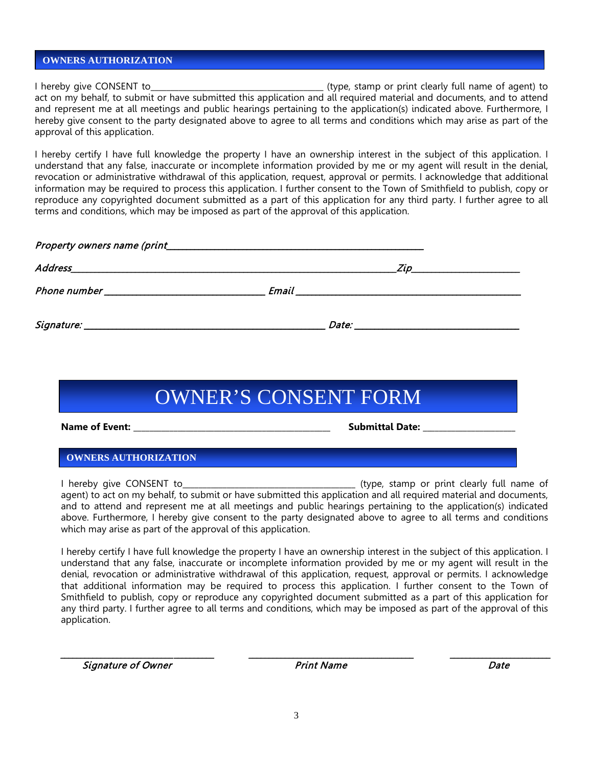#### **OWNERS AUTHORIZATION**

I hereby give CONSENT to\_\_\_\_\_\_\_\_\_\_\_\_\_\_\_\_\_\_\_\_\_\_\_\_\_\_\_\_\_\_\_\_\_\_\_\_\_\_\_\_\_\_\_ (type, stamp or print clearly full name of agent) to act on my behalf, to submit or have submitted this application and all required material and documents, and to attend and represent me at all meetings and public hearings pertaining to the application(s) indicated above. Furthermore, I hereby give consent to the party designated above to agree to all terms and conditions which may arise as part of the approval of this application.

I hereby certify I have full knowledge the property I have an ownership interest in the subject of this application. I understand that any false, inaccurate or incomplete information provided by me or my agent will result in the denial, revocation or administrative withdrawal of this application, request, approval or permits. I acknowledge that additional information may be required to process this application. I further consent to the Town of Smithfield to publish, copy or reproduce any copyrighted document submitted as a part of this application for any third party. I further agree to all terms and conditions, which may be imposed as part of the approval of this application.

| Property owners name (print example and a set of the set of the set of the set of the set of the set of the set of the set of the set of the set of the set of the set of the set of the set of the set of the set of the set |  |
|-------------------------------------------------------------------------------------------------------------------------------------------------------------------------------------------------------------------------------|--|
|                                                                                                                                                                                                                               |  |
|                                                                                                                                                                                                                               |  |
|                                                                                                                                                                                                                               |  |

## OWNER'S CONSENT FORM

**Name of Event: \_\_\_\_\_\_\_\_\_\_\_\_\_\_\_\_\_\_\_\_\_\_\_\_\_\_\_\_\_\_\_\_\_\_\_\_\_\_\_\_\_\_\_\_\_\_\_\_\_ Submittal Date: \_\_\_\_\_\_\_\_\_\_\_\_\_\_\_\_\_\_\_\_\_\_\_**

### **OWNERS AUTHORIZATION**

I hereby give CONSENT to **Example 2** (type, stamp or print clearly full name of agent) to act on my behalf, to submit or have submitted this application and all required material and documents, and to attend and represent me at all meetings and public hearings pertaining to the application(s) indicated above. Furthermore, I hereby give consent to the party designated above to agree to all terms and conditions which may arise as part of the approval of this application.

I hereby certify I have full knowledge the property I have an ownership interest in the subject of this application. I understand that any false, inaccurate or incomplete information provided by me or my agent will result in the denial, revocation or administrative withdrawal of this application, request, approval or permits. I acknowledge that additional information may be required to process this application. I further consent to the Town of Smithfield to publish, copy or reproduce any copyrighted document submitted as a part of this application for any third party. I further agree to all terms and conditions, which may be imposed as part of the approval of this application.

Signature of Owner **Example 2** and Section 2 and Date Date Date Date

\_\_\_\_\_\_\_\_\_\_\_\_\_\_\_\_\_\_\_\_\_\_\_\_\_\_\_\_ \_\_\_\_\_\_\_\_\_\_ \_\_\_\_\_\_\_\_\_\_\_\_\_\_\_\_\_\_\_\_\_\_\_\_\_\_\_\_\_\_\_\_\_\_\_\_\_\_\_\_\_ \_\_\_\_\_\_\_\_\_\_\_\_\_\_\_\_\_\_\_\_\_\_\_\_\_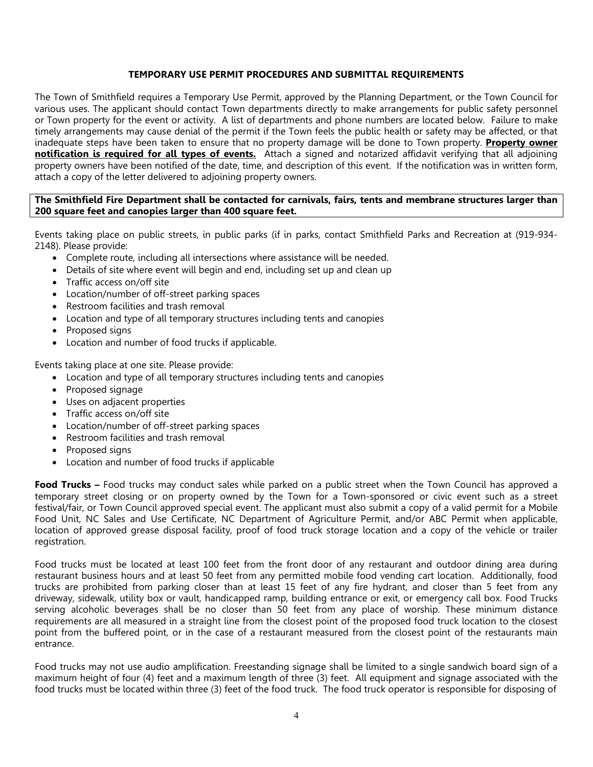### **TEMPORARY USE PERMIT PROCEDURES AND SUBMITTAL REQUIREMENTS**

The Town of Smithfield requires a Temporary Use Permit, approved by the Planning Department, or the Town Council for various uses. The applicant should contact Town departments directly to make arrangements for public safety personnel or Town property for the event or activity. A list of departments and phone numbers are located below. Failure to make timely arrangements may cause denial of the permit if the Town feels the public health or safety may be affected, or that inadequate steps have been taken to ensure that no property damage will be done to Town property. **Property owner notification is required for all types of events.** Attach a signed and notarized affidavit verifying that all adjoining property owners have been notified of the date, time, and description of this event. If the notification was in written form, attach a copy of the letter delivered to adjoining property owners.

#### **The Smithfield Fire Department shall be contacted for carnivals, fairs, tents and membrane structures larger than 200 square feet and canopies larger than 400 square feet.**

Events taking place on public streets, in public parks (if in parks, contact Smithfield Parks and Recreation at (919-934- 2148). Please provide:

- Complete route, including all intersections where assistance will be needed.
- Details of site where event will begin and end, including set up and clean up
- Traffic access on/off site
- Location/number of off-street parking spaces
- Restroom facilities and trash removal
- Location and type of all temporary structures including tents and canopies
- Proposed signs
- Location and number of food trucks if applicable.

Events taking place at one site. Please provide:

- Location and type of all temporary structures including tents and canopies
- Proposed signage
- Uses on adjacent properties
- Traffic access on/off site
- Location/number of off-street parking spaces
- Restroom facilities and trash removal
- Proposed signs
- Location and number of food trucks if applicable

**Food Trucks –** Food trucks may conduct sales while parked on a public street when the Town Council has approved a temporary street closing or on property owned by the Town for a Town-sponsored or civic event such as a street festival/fair, or Town Council approved special event. The applicant must also submit a copy of a valid permit for a Mobile Food Unit, NC Sales and Use Certificate, NC Department of Agriculture Permit, and/or ABC Permit when applicable, location of approved grease disposal facility, proof of food truck storage location and a copy of the vehicle or trailer registration.

Food trucks must be located at least 100 feet from the front door of any restaurant and outdoor dining area during restaurant business hours and at least 50 feet from any permitted mobile food vending cart location. Additionally, food trucks are prohibited from parking closer than at least 15 feet of any fire hydrant, and closer than 5 feet from any driveway, sidewalk, utility box or vault, handicapped ramp, building entrance or exit, or emergency call box. Food Trucks serving alcoholic beverages shall be no closer than 50 feet from any place of worship. These minimum distance requirements are all measured in a straight line from the closest point of the proposed food truck location to the closest point from the buffered point, or in the case of a restaurant measured from the closest point of the restaurants main entrance.

Food trucks may not use audio amplification. Freestanding signage shall be limited to a single sandwich board sign of a maximum height of four (4) feet and a maximum length of three (3) feet. All equipment and signage associated with the food trucks must be located within three (3) feet of the food truck. The food truck operator is responsible for disposing of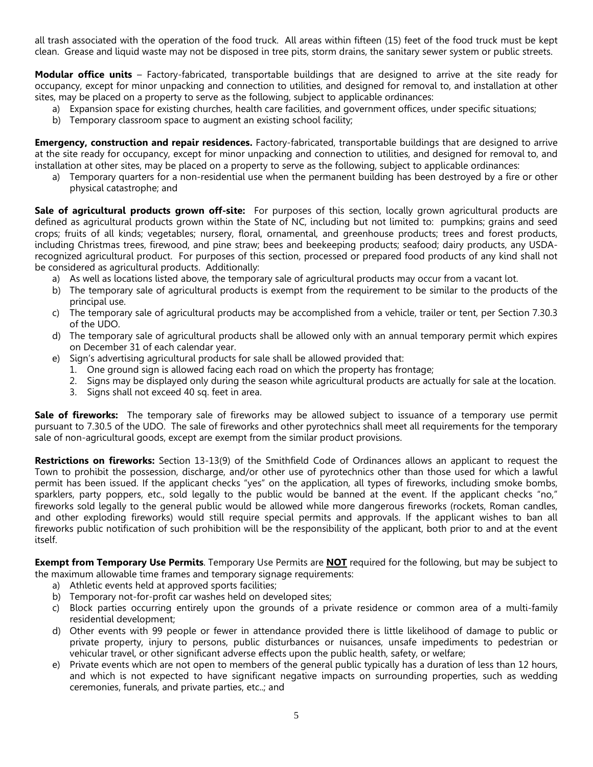all trash associated with the operation of the food truck. All areas within fifteen (15) feet of the food truck must be kept clean. Grease and liquid waste may not be disposed in tree pits, storm drains, the sanitary sewer system or public streets.

**Modular office units** – Factory-fabricated, transportable buildings that are designed to arrive at the site ready for occupancy, except for minor unpacking and connection to utilities, and designed for removal to, and installation at other sites, may be placed on a property to serve as the following, subject to applicable ordinances:

- a) Expansion space for existing churches, health care facilities, and government offices, under specific situations;
- b) Temporary classroom space to augment an existing school facility;

**Emergency, construction and repair residences.** Factory-fabricated, transportable buildings that are designed to arrive at the site ready for occupancy, except for minor unpacking and connection to utilities, and designed for removal to, and installation at other sites, may be placed on a property to serve as the following, subject to applicable ordinances:

a) Temporary quarters for a non-residential use when the permanent building has been destroyed by a fire or other physical catastrophe; and

**Sale of agricultural products grown off-site:** For purposes of this section, locally grown agricultural products are defined as agricultural products grown within the State of NC, including but not limited to: pumpkins; grains and seed crops; fruits of all kinds; vegetables; nursery, floral, ornamental, and greenhouse products; trees and forest products, including Christmas trees, firewood, and pine straw; bees and beekeeping products; seafood; dairy products, any USDArecognized agricultural product. For purposes of this section, processed or prepared food products of any kind shall not be considered as agricultural products. Additionally:

- a) As well as locations listed above, the temporary sale of agricultural products may occur from a vacant lot.
- b) The temporary sale of agricultural products is exempt from the requirement to be similar to the products of the principal use.
- c) The temporary sale of agricultural products may be accomplished from a vehicle, trailer or tent, per Section 7.30.3 of the UDO.
- d) The temporary sale of agricultural products shall be allowed only with an annual temporary permit which expires on December 31 of each calendar year.
- e) Sign's advertising agricultural products for sale shall be allowed provided that:
	- 1. One ground sign is allowed facing each road on which the property has frontage;
	- 2. Signs may be displayed only during the season while agricultural products are actually for sale at the location.
	- 3. Signs shall not exceed 40 sq. feet in area.

**Sale of fireworks:** The temporary sale of fireworks may be allowed subject to issuance of a temporary use permit pursuant to 7.30.5 of the UDO. The sale of fireworks and other pyrotechnics shall meet all requirements for the temporary sale of non-agricultural goods, except are exempt from the similar product provisions.

**Restrictions on fireworks:** Section 13-13(9) of the Smithfield Code of Ordinances allows an applicant to request the Town to prohibit the possession, discharge, and/or other use of pyrotechnics other than those used for which a lawful permit has been issued. If the applicant checks "yes" on the application, all types of fireworks, including smoke bombs, sparklers, party poppers, etc., sold legally to the public would be banned at the event. If the applicant checks "no," fireworks sold legally to the general public would be allowed while more dangerous fireworks (rockets, Roman candles, and other exploding fireworks) would still require special permits and approvals. If the applicant wishes to ban all fireworks public notification of such prohibition will be the responsibility of the applicant, both prior to and at the event itself.

**Exempt from Temporary Use Permits**. Temporary Use Permits are **NOT** required for the following, but may be subject to the maximum allowable time frames and temporary signage requirements:

- a) Athletic events held at approved sports facilities;
- b) Temporary not-for-profit car washes held on developed sites;
- c) Block parties occurring entirely upon the grounds of a private residence or common area of a multi-family residential development;
- d) Other events with 99 people or fewer in attendance provided there is little likelihood of damage to public or private property, injury to persons, public disturbances or nuisances, unsafe impediments to pedestrian or vehicular travel, or other significant adverse effects upon the public health, safety, or welfare;
- e) Private events which are not open to members of the general public typically has a duration of less than 12 hours, and which is not expected to have significant negative impacts on surrounding properties, such as wedding ceremonies, funerals, and private parties, etc..; and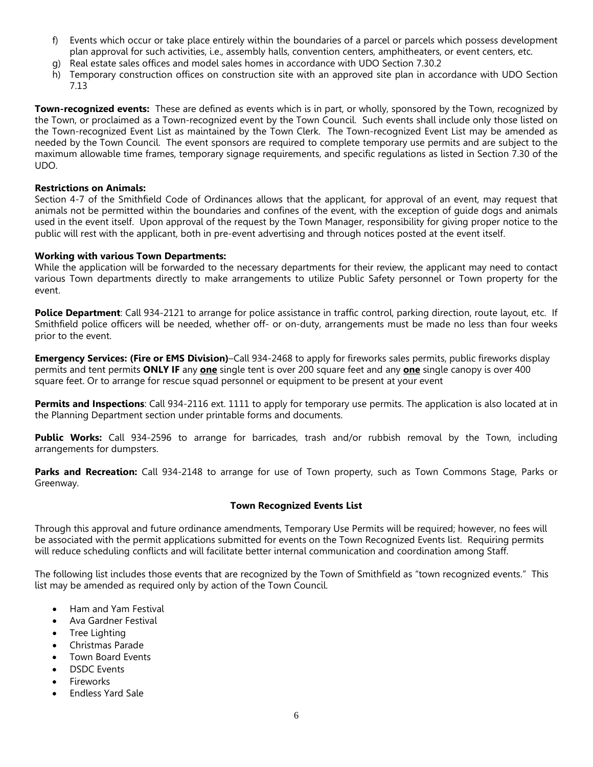- f) Events which occur or take place entirely within the boundaries of a parcel or parcels which possess development plan approval for such activities, i.e., assembly halls, convention centers, amphitheaters, or event centers, etc.
- Real estate sales offices and model sales homes in accordance with UDO Section 7.30.2
- h) Temporary construction offices on construction site with an approved site plan in accordance with UDO Section 7.13

**Town-recognized events:** These are defined as events which is in part, or wholly, sponsored by the Town, recognized by the Town, or proclaimed as a Town-recognized event by the Town Council. Such events shall include only those listed on the Town-recognized Event List as maintained by the Town Clerk. The Town-recognized Event List may be amended as needed by the Town Council. The event sponsors are required to complete temporary use permits and are subject to the maximum allowable time frames, temporary signage requirements, and specific regulations as listed in Section 7.30 of the UDO.

### **Restrictions on Animals:**

Section 4-7 of the Smithfield Code of Ordinances allows that the applicant, for approval of an event, may request that animals not be permitted within the boundaries and confines of the event, with the exception of guide dogs and animals used in the event itself. Upon approval of the request by the Town Manager, responsibility for giving proper notice to the public will rest with the applicant, both in pre-event advertising and through notices posted at the event itself.

#### **Working with various Town Departments:**

While the application will be forwarded to the necessary departments for their review, the applicant may need to contact various Town departments directly to make arrangements to utilize Public Safety personnel or Town property for the event.

**Police Department**: Call 934-2121 to arrange for police assistance in traffic control, parking direction, route layout, etc. If Smithfield police officers will be needed, whether off- or on-duty, arrangements must be made no less than four weeks prior to the event.

**Emergency Services: (Fire or EMS Division)**–Call 934-2468 to apply for fireworks sales permits, public fireworks display permits and tent permits **ONLY IF** any **one** single tent is over 200 square feet and any **one** single canopy is over 400 square feet. Or to arrange for rescue squad personnel or equipment to be present at your event

**Permits and Inspections**: Call 934-2116 ext. 1111 to apply for temporary use permits. The application is also located at in the Planning Department section under printable forms and documents.

**Public Works:** Call 934-2596 to arrange for barricades, trash and/or rubbish removal by the Town, including arrangements for dumpsters.

**Parks and Recreation:** Call 934-2148 to arrange for use of Town property, such as Town Commons Stage, Parks or Greenway.

### **Town Recognized Events List**

Through this approval and future ordinance amendments, Temporary Use Permits will be required; however, no fees will be associated with the permit applications submitted for events on the Town Recognized Events list. Requiring permits will reduce scheduling conflicts and will facilitate better internal communication and coordination among Staff.

The following list includes those events that are recognized by the Town of Smithfield as "town recognized events." This list may be amended as required only by action of the Town Council.

- Ham and Yam Festival
- Ava Gardner Festival
- Tree Lighting
- Christmas Parade
- Town Board Events
- DSDC Events
- **Fireworks**
- Endless Yard Sale